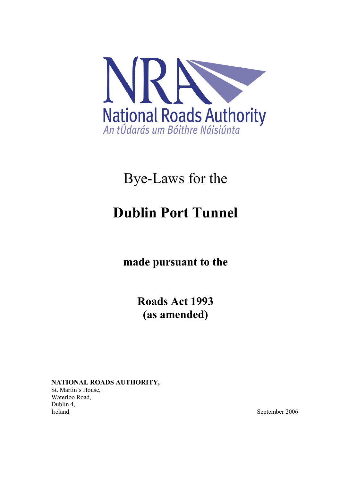

# Bye-Laws for the

# Dublin Port Tunnel

made pursuant to the

Roads Act 1993 (as amended)

NATIONAL ROADS AUTHORITY, St. Martin's House, Waterloo Road, Dublin 4,<br>Ireland.

September 2006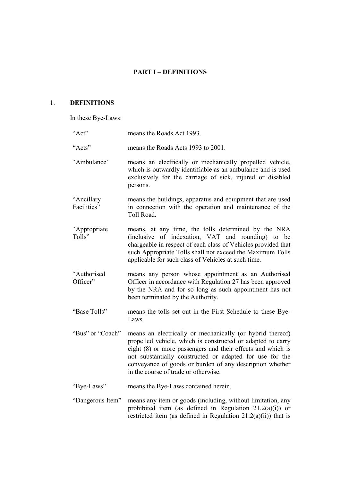# PART I – DEFINITIONS

# 1. DEFINITIONS

In these Bye-Laws:

| "Act"                     | means the Roads Act 1993.                                                                                                                                                                                                                                                                                                                               |
|---------------------------|---------------------------------------------------------------------------------------------------------------------------------------------------------------------------------------------------------------------------------------------------------------------------------------------------------------------------------------------------------|
| "Acts"                    | means the Roads Acts 1993 to 2001.                                                                                                                                                                                                                                                                                                                      |
| "Ambulance"               | means an electrically or mechanically propelled vehicle,<br>which is outwardly identifiable as an ambulance and is used<br>exclusively for the carriage of sick, injured or disabled<br>persons.                                                                                                                                                        |
| "Ancillary<br>Facilities" | means the buildings, apparatus and equipment that are used<br>in connection with the operation and maintenance of the<br>Toll Road.                                                                                                                                                                                                                     |
| "Appropriate<br>Tolls"    | means, at any time, the tolls determined by the NRA<br>(inclusive of indexation, VAT and rounding) to be<br>chargeable in respect of each class of Vehicles provided that<br>such Appropriate Tolls shall not exceed the Maximum Tolls<br>applicable for such class of Vehicles at such time.                                                           |
| "Authorised<br>Officer"   | means any person whose appointment as an Authorised<br>Officer in accordance with Regulation 27 has been approved<br>by the NRA and for so long as such appointment has not<br>been terminated by the Authority.                                                                                                                                        |
| "Base Tolls"              | means the tolls set out in the First Schedule to these Bye-<br>Laws.                                                                                                                                                                                                                                                                                    |
| "Bus" or "Coach"          | means an electrically or mechanically (or hybrid thereof)<br>propelled vehicle, which is constructed or adapted to carry<br>eight (8) or more passengers and their effects and which is<br>not substantially constructed or adapted for use for the<br>conveyance of goods or burden of any description whether<br>in the course of trade or otherwise. |
| "Bye-Laws"                | means the Bye-Laws contained herein.                                                                                                                                                                                                                                                                                                                    |
| "Dangerous Item"          | means any item or goods (including, without limitation, any<br>prohibited item (as defined in Regulation $21.2(a)(i)$ ) or<br>restricted item (as defined in Regulation $21.2(a)(ii)$ ) that is                                                                                                                                                         |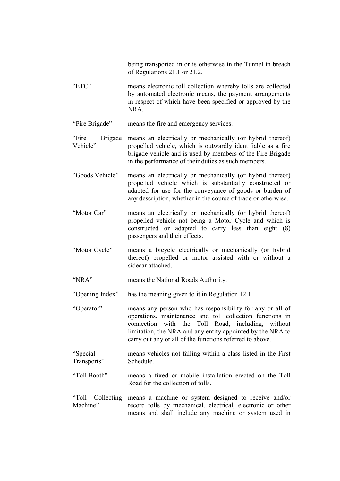being transported in or is otherwise in the Tunnel in breach of Regulations 21.1 or 21.2.

- "ETC" means electronic toll collection whereby tolls are collected by automated electronic means, the payment arrangements in respect of which have been specified or approved by the NRA.
- "Fire Brigade" means the fire and emergency services.

"Fire Brigade Vehicle" means an electrically or mechanically (or hybrid thereof) propelled vehicle, which is outwardly identifiable as a fire brigade vehicle and is used by members of the Fire Brigade in the performance of their duties as such members.

- "Goods Vehicle" means an electrically or mechanically (or hybrid thereof) propelled vehicle which is substantially constructed or adapted for use for the conveyance of goods or burden of any description, whether in the course of trade or otherwise.
- "Motor Car" means an electrically or mechanically (or hybrid thereof) propelled vehicle not being a Motor Cycle and which is constructed or adapted to carry less than eight (8) passengers and their effects.
- "Motor Cycle" means a bicycle electrically or mechanically (or hybrid thereof) propelled or motor assisted with or without a sidecar attached.
- "NRA" means the National Roads Authority.

"Opening Index" has the meaning given to it in Regulation 12.1.

- "Operator" means any person who has responsibility for any or all of operations, maintenance and toll collection functions in connection with the Toll Road, including, without limitation, the NRA and any entity appointed by the NRA to carry out any or all of the functions referred to above.
- "Special Transports" means vehicles not falling within a class listed in the First Schedule.
- "Toll Booth" means a fixed or mobile installation erected on the Toll Road for the collection of tolls.
- "Toll Collecting means a machine or system designed to receive and/or Machine" record tolls by mechanical, electrical, electronic or other means and shall include any machine or system used in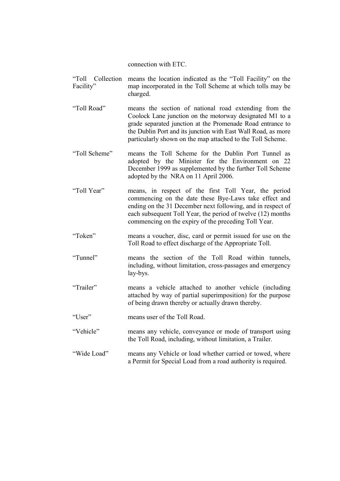connection with ETC.

- "Toll Collection means the location indicated as the "Toll Facility" on the Facility" map incorporated in the Toll Scheme at which tolls may be charged.
- "Toll Road" means the section of national road extending from the Coolock Lane junction on the motorway designated M1 to a grade separated junction at the Promenade Road entrance to the Dublin Port and its junction with East Wall Road, as more particularly shown on the map attached to the Toll Scheme.
- "Toll Scheme" means the Toll Scheme for the Dublin Port Tunnel as adopted by the Minister for the Environment on 22 December 1999 as supplemented by the further Toll Scheme adopted by the NRA on 11 April 2006.
- "Toll Year" means, in respect of the first Toll Year, the period commencing on the date these Bye-Laws take effect and ending on the 31 December next following, and in respect of each subsequent Toll Year, the period of twelve (12) months commencing on the expiry of the preceding Toll Year.
- "Token" means a voucher, disc, card or permit issued for use on the Toll Road to effect discharge of the Appropriate Toll.
- "Tunnel" means the section of the Toll Road within tunnels, including, without limitation, cross-passages and emergency lay-bys.
- "Trailer" means a vehicle attached to another vehicle (including attached by way of partial superimposition) for the purpose of being drawn thereby or actually drawn thereby.
- "User" means user of the Toll Road.
- "Vehicle" means any vehicle, conveyance or mode of transport using the Toll Road, including, without limitation, a Trailer.
- "Wide Load" means any Vehicle or load whether carried or towed, where a Permit for Special Load from a road authority is required.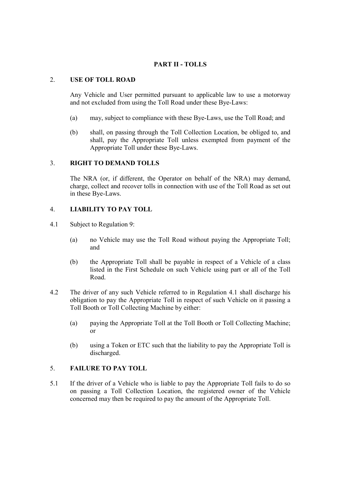# PART II - TOLLS

#### 2. USE OF TOLL ROAD

Any Vehicle and User permitted pursuant to applicable law to use a motorway and not excluded from using the Toll Road under these Bye-Laws:

- (a) may, subject to compliance with these Bye-Laws, use the Toll Road; and
- (b) shall, on passing through the Toll Collection Location, be obliged to, and shall, pay the Appropriate Toll unless exempted from payment of the Appropriate Toll under these Bye-Laws.

#### 3. RIGHT TO DEMAND TOLLS

The NRA (or, if different, the Operator on behalf of the NRA) may demand, charge, collect and recover tolls in connection with use of the Toll Road as set out in these Bye-Laws.

# 4. LIABILITY TO PAY TOLL

- 4.1 Subject to Regulation 9:
	- (a) no Vehicle may use the Toll Road without paying the Appropriate Toll; and
	- (b) the Appropriate Toll shall be payable in respect of a Vehicle of a class listed in the First Schedule on such Vehicle using part or all of the Toll Road.
- 4.2 The driver of any such Vehicle referred to in Regulation 4.1 shall discharge his obligation to pay the Appropriate Toll in respect of such Vehicle on it passing a Toll Booth or Toll Collecting Machine by either:
	- (a) paying the Appropriate Toll at the Toll Booth or Toll Collecting Machine; or
	- (b) using a Token or ETC such that the liability to pay the Appropriate Toll is discharged.

# 5. FAILURE TO PAY TOLL

5.1 If the driver of a Vehicle who is liable to pay the Appropriate Toll fails to do so on passing a Toll Collection Location, the registered owner of the Vehicle concerned may then be required to pay the amount of the Appropriate Toll.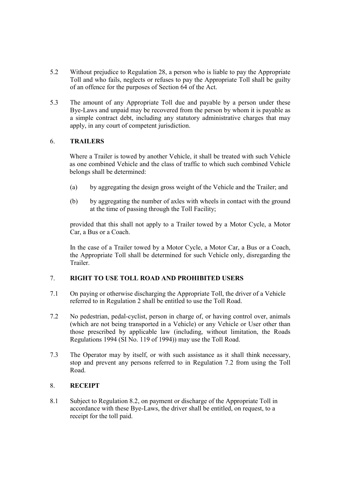- 5.2 Without prejudice to Regulation 28, a person who is liable to pay the Appropriate Toll and who fails, neglects or refuses to pay the Appropriate Toll shall be guilty of an offence for the purposes of Section 64 of the Act.
- 5.3 The amount of any Appropriate Toll due and payable by a person under these Bye-Laws and unpaid may be recovered from the person by whom it is payable as a simple contract debt, including any statutory administrative charges that may apply, in any court of competent jurisdiction.

#### 6. TRAILERS

Where a Trailer is towed by another Vehicle, it shall be treated with such Vehicle as one combined Vehicle and the class of traffic to which such combined Vehicle belongs shall be determined:

- (a) by aggregating the design gross weight of the Vehicle and the Trailer; and
- (b) by aggregating the number of axles with wheels in contact with the ground at the time of passing through the Toll Facility;

provided that this shall not apply to a Trailer towed by a Motor Cycle, a Motor Car, a Bus or a Coach.

In the case of a Trailer towed by a Motor Cycle, a Motor Car, a Bus or a Coach, the Appropriate Toll shall be determined for such Vehicle only, disregarding the Trailer.

#### 7. RIGHT TO USE TOLL ROAD AND PROHIBITED USERS

- 7.1 On paying or otherwise discharging the Appropriate Toll, the driver of a Vehicle referred to in Regulation 2 shall be entitled to use the Toll Road.
- 7.2 No pedestrian, pedal-cyclist, person in charge of, or having control over, animals (which are not being transported in a Vehicle) or any Vehicle or User other than those prescribed by applicable law (including, without limitation, the Roads Regulations 1994 (SI No. 119 of 1994)) may use the Toll Road.
- 7.3 The Operator may by itself, or with such assistance as it shall think necessary, stop and prevent any persons referred to in Regulation 7.2 from using the Toll Road.

# 8. RECEIPT

8.1 Subject to Regulation 8.2, on payment or discharge of the Appropriate Toll in accordance with these Bye-Laws, the driver shall be entitled, on request, to a receipt for the toll paid.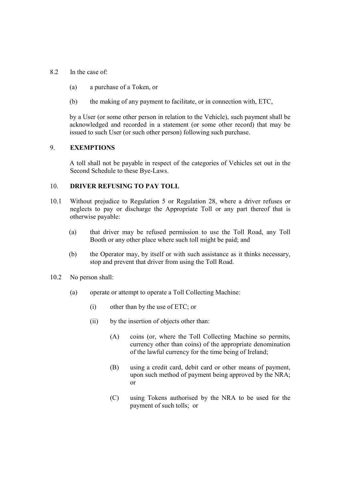- 8.2 In the case of:
	- (a) a purchase of a Token, or
	- (b) the making of any payment to facilitate, or in connection with, ETC,

by a User (or some other person in relation to the Vehicle), such payment shall be acknowledged and recorded in a statement (or some other record) that may be issued to such User (or such other person) following such purchase.

#### 9. EXEMPTIONS

A toll shall not be payable in respect of the categories of Vehicles set out in the Second Schedule to these Bye-Laws.

#### 10. **DRIVER REFUSING TO PAY TOLL**

- 10.1 Without prejudice to Regulation 5 or Regulation 28, where a driver refuses or neglects to pay or discharge the Appropriate Toll or any part thereof that is otherwise payable:
	- (a) that driver may be refused permission to use the Toll Road, any Toll Booth or any other place where such toll might be paid; and
	- (b) the Operator may, by itself or with such assistance as it thinks necessary, stop and prevent that driver from using the Toll Road.
- 10.2 No person shall:
	- (a) operate or attempt to operate a Toll Collecting Machine:
		- (i) other than by the use of ETC; or
		- (ii) by the insertion of objects other than:
			- (A) coins (or, where the Toll Collecting Machine so permits, currency other than coins) of the appropriate denomination of the lawful currency for the time being of Ireland;
			- (B) using a credit card, debit card or other means of payment, upon such method of payment being approved by the NRA; or
			- (C) using Tokens authorised by the NRA to be used for the payment of such tolls; or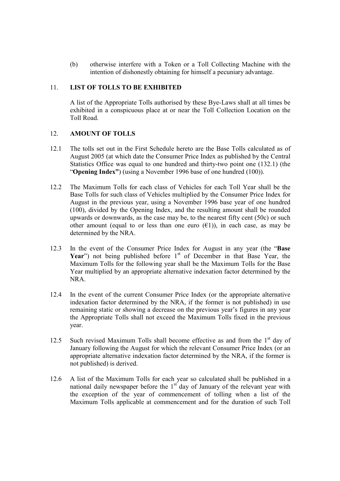(b) otherwise interfere with a Token or a Toll Collecting Machine with the intention of dishonestly obtaining for himself a pecuniary advantage.

### 11. LIST OF TOLLS TO BE EXHIBITED

 A list of the Appropriate Tolls authorised by these Bye-Laws shall at all times be exhibited in a conspicuous place at or near the Toll Collection Location on the Toll Road.

# 12. AMOUNT OF TOLLS

- 12.1 The tolls set out in the First Schedule hereto are the Base Tolls calculated as of August 2005 (at which date the Consumer Price Index as published by the Central Statistics Office was equal to one hundred and thirty-two point one (132.1) (the "Opening Index") (using a November 1996 base of one hundred (100)).
- 12.2 The Maximum Tolls for each class of Vehicles for each Toll Year shall be the Base Tolls for such class of Vehicles multiplied by the Consumer Price Index for August in the previous year, using a November 1996 base year of one hundred (100), divided by the Opening Index, and the resulting amount shall be rounded upwards or downwards, as the case may be, to the nearest fifty cent (50c) or such other amount (equal to or less than one euro  $(\epsilon 1)$ ), in each case, as may be determined by the NRA.
- 12.3 In the event of the Consumer Price Index for August in any year (the "Base Year") not being published before  $1<sup>st</sup>$  of December in that Base Year, the Maximum Tolls for the following year shall be the Maximum Tolls for the Base Year multiplied by an appropriate alternative indexation factor determined by the NRA.
- 12.4 In the event of the current Consumer Price Index (or the appropriate alternative indexation factor determined by the NRA, if the former is not published) in use remaining static or showing a decrease on the previous year's figures in any year the Appropriate Tolls shall not exceed the Maximum Tolls fixed in the previous year.
- 12.5 Such revised Maximum Tolls shall become effective as and from the 1<sup>st</sup> day of January following the August for which the relevant Consumer Price Index (or an appropriate alternative indexation factor determined by the NRA, if the former is not published) is derived.
- 12.6 A list of the Maximum Tolls for each year so calculated shall be published in a national daily newspaper before the  $1<sup>st</sup>$  day of January of the relevant year with the exception of the year of commencement of tolling when a list of the Maximum Tolls applicable at commencement and for the duration of such Toll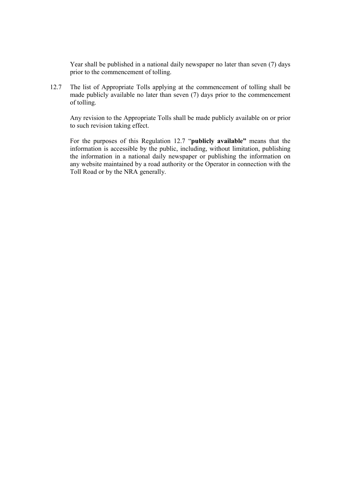Year shall be published in a national daily newspaper no later than seven (7) days prior to the commencement of tolling.

12.7 The list of Appropriate Tolls applying at the commencement of tolling shall be made publicly available no later than seven (7) days prior to the commencement of tolling.

Any revision to the Appropriate Tolls shall be made publicly available on or prior to such revision taking effect.

For the purposes of this Regulation 12.7 "publicly available" means that the information is accessible by the public, including, without limitation, publishing the information in a national daily newspaper or publishing the information on any website maintained by a road authority or the Operator in connection with the Toll Road or by the NRA generally.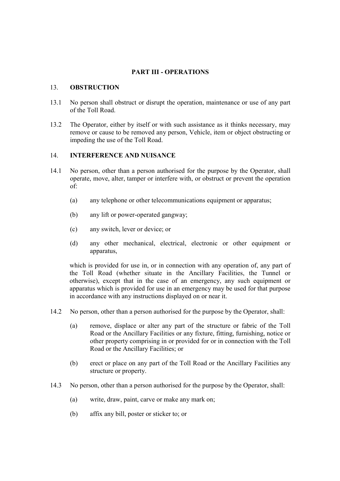# PART III - OPERATIONS

#### 13. OBSTRUCTION

- 13.1 No person shall obstruct or disrupt the operation, maintenance or use of any part of the Toll Road.
- 13.2 The Operator, either by itself or with such assistance as it thinks necessary, may remove or cause to be removed any person, Vehicle, item or object obstructing or impeding the use of the Toll Road.

### 14. INTERFERENCE AND NUISANCE

- 14.1 No person, other than a person authorised for the purpose by the Operator, shall operate, move, alter, tamper or interfere with, or obstruct or prevent the operation of:
	- (a) any telephone or other telecommunications equipment or apparatus;
	- (b) any lift or power-operated gangway;
	- (c) any switch, lever or device; or
	- (d) any other mechanical, electrical, electronic or other equipment or apparatus,

which is provided for use in, or in connection with any operation of, any part of the Toll Road (whether situate in the Ancillary Facilities, the Tunnel or otherwise), except that in the case of an emergency, any such equipment or apparatus which is provided for use in an emergency may be used for that purpose in accordance with any instructions displayed on or near it.

- 14.2 No person, other than a person authorised for the purpose by the Operator, shall:
	- (a) remove, displace or alter any part of the structure or fabric of the Toll Road or the Ancillary Facilities or any fixture, fitting, furnishing, notice or other property comprising in or provided for or in connection with the Toll Road or the Ancillary Facilities; or
	- (b) erect or place on any part of the Toll Road or the Ancillary Facilities any structure or property.
- 14.3 No person, other than a person authorised for the purpose by the Operator, shall:
	- (a) write, draw, paint, carve or make any mark on;
	- (b) affix any bill, poster or sticker to; or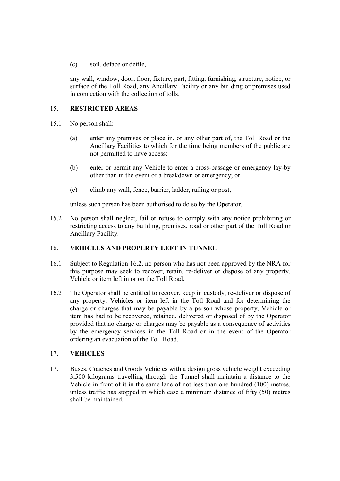(c) soil, deface or defile,

any wall, window, door, floor, fixture, part, fitting, furnishing, structure, notice, or surface of the Toll Road, any Ancillary Facility or any building or premises used in connection with the collection of tolls.

# 15. RESTRICTED AREAS

- 15.1 No person shall:
	- (a) enter any premises or place in, or any other part of, the Toll Road or the Ancillary Facilities to which for the time being members of the public are not permitted to have access;
	- (b) enter or permit any Vehicle to enter a cross-passage or emergency lay-by other than in the event of a breakdown or emergency; or
	- (c) climb any wall, fence, barrier, ladder, railing or post,

unless such person has been authorised to do so by the Operator.

15.2 No person shall neglect, fail or refuse to comply with any notice prohibiting or restricting access to any building, premises, road or other part of the Toll Road or Ancillary Facility.

#### 16. VEHICLES AND PROPERTY LEFT IN TUNNEL

- 16.1 Subject to Regulation 16.2, no person who has not been approved by the NRA for this purpose may seek to recover, retain, re-deliver or dispose of any property, Vehicle or item left in or on the Toll Road.
- 16.2 The Operator shall be entitled to recover, keep in custody, re-deliver or dispose of any property, Vehicles or item left in the Toll Road and for determining the charge or charges that may be payable by a person whose property, Vehicle or item has had to be recovered, retained, delivered or disposed of by the Operator provided that no charge or charges may be payable as a consequence of activities by the emergency services in the Toll Road or in the event of the Operator ordering an evacuation of the Toll Road.

#### 17. VEHICLES

17.1 Buses, Coaches and Goods Vehicles with a design gross vehicle weight exceeding 3,500 kilograms travelling through the Tunnel shall maintain a distance to the Vehicle in front of it in the same lane of not less than one hundred (100) metres, unless traffic has stopped in which case a minimum distance of fifty (50) metres shall be maintained.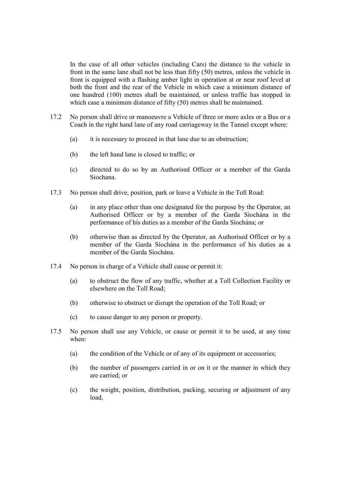In the case of all other vehicles (including Cars) the distance to the vehicle in front in the same lane shall not be less than fifty (50) metres, unless the vehicle in front is equipped with a flashing amber light in operation at or near roof level at both the front and the rear of the Vehicle in which case a minimum distance of one hundred (100) metres shall be maintained, or unless traffic has stopped in which case a minimum distance of fifty (50) metres shall be maintained.

- 17.2 No person shall drive or manoeuvre a Vehicle of three or more axles or a Bus or a Coach in the right hand lane of any road carriageway in the Tunnel except where:
	- (a) it is necessary to proceed in that lane due to an obstruction;
	- (b) the left hand lane is closed to traffic; or
	- (c) directed to do so by an Authorised Officer or a member of the Garda Siochana.
- 17.3 No person shall drive, position, park or leave a Vehicle in the Toll Road:
	- (a) in any place other than one designated for the purpose by the Operator, an Authorised Officer or by a member of the Garda Síochána in the performance of his duties as a member of the Garda Síochána; or
	- (b) otherwise than as directed by the Operator, an Authorised Officer or by a member of the Garda Síochána in the performance of his duties as a member of the Garda Síochána.
- 17.4 No person in charge of a Vehicle shall cause or permit it:
	- (a) to obstruct the flow of any traffic, whether at a Toll Collection Facility or elsewhere on the Toll Road;
	- (b) otherwise to obstruct or disrupt the operation of the Toll Road; or
	- (c) to cause danger to any person or property.
- 17.5 No person shall use any Vehicle, or cause or permit it to be used, at any time when:
	- (a) the condition of the Vehicle or of any of its equipment or accessories;
	- (b) the number of passengers carried in or on it or the manner in which they are carried; or
	- (c) the weight, position, distribution, packing, securing or adjustment of any load,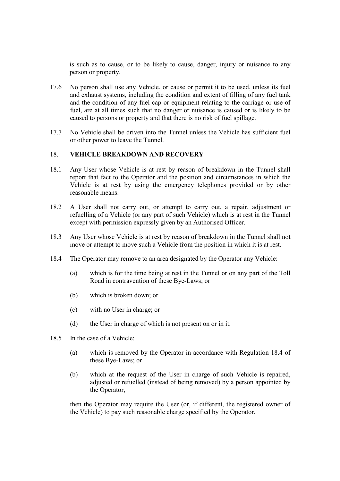is such as to cause, or to be likely to cause, danger, injury or nuisance to any person or property.

- 17.6 No person shall use any Vehicle, or cause or permit it to be used, unless its fuel and exhaust systems, including the condition and extent of filling of any fuel tank and the condition of any fuel cap or equipment relating to the carriage or use of fuel, are at all times such that no danger or nuisance is caused or is likely to be caused to persons or property and that there is no risk of fuel spillage.
- 17.7 No Vehicle shall be driven into the Tunnel unless the Vehicle has sufficient fuel or other power to leave the Tunnel.

#### 18. VEHICLE BREAKDOWN AND RECOVERY

- 18.1 Any User whose Vehicle is at rest by reason of breakdown in the Tunnel shall report that fact to the Operator and the position and circumstances in which the Vehicle is at rest by using the emergency telephones provided or by other reasonable means.
- 18.2 A User shall not carry out, or attempt to carry out, a repair, adjustment or refuelling of a Vehicle (or any part of such Vehicle) which is at rest in the Tunnel except with permission expressly given by an Authorised Officer.
- 18.3 Any User whose Vehicle is at rest by reason of breakdown in the Tunnel shall not move or attempt to move such a Vehicle from the position in which it is at rest.
- 18.4 The Operator may remove to an area designated by the Operator any Vehicle:
	- (a) which is for the time being at rest in the Tunnel or on any part of the Toll Road in contravention of these Bye-Laws; or
	- (b) which is broken down; or
	- (c) with no User in charge; or
	- (d) the User in charge of which is not present on or in it.
- 18.5 In the case of a Vehicle:
	- (a) which is removed by the Operator in accordance with Regulation 18.4 of these Bye-Laws; or
	- (b) which at the request of the User in charge of such Vehicle is repaired, adjusted or refuelled (instead of being removed) by a person appointed by the Operator,

then the Operator may require the User (or, if different, the registered owner of the Vehicle) to pay such reasonable charge specified by the Operator.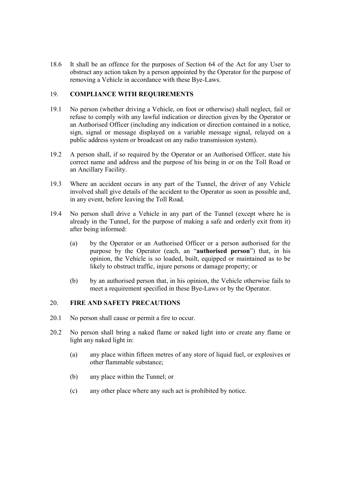18.6 It shall be an offence for the purposes of Section 64 of the Act for any User to obstruct any action taken by a person appointed by the Operator for the purpose of removing a Vehicle in accordance with these Bye-Laws.

## 19. COMPLIANCE WITH REQUIREMENTS

- 19.1 No person (whether driving a Vehicle, on foot or otherwise) shall neglect, fail or refuse to comply with any lawful indication or direction given by the Operator or an Authorised Officer (including any indication or direction contained in a notice, sign, signal or message displayed on a variable message signal, relayed on a public address system or broadcast on any radio transmission system).
- 19.2 A person shall, if so required by the Operator or an Authorised Officer, state his correct name and address and the purpose of his being in or on the Toll Road or an Ancillary Facility.
- 19.3 Where an accident occurs in any part of the Tunnel, the driver of any Vehicle involved shall give details of the accident to the Operator as soon as possible and, in any event, before leaving the Toll Road.
- 19.4 No person shall drive a Vehicle in any part of the Tunnel (except where he is already in the Tunnel, for the purpose of making a safe and orderly exit from it) after being informed:
	- (a) by the Operator or an Authorised Officer or a person authorised for the purpose by the Operator (each, an "authorised person") that, in his opinion, the Vehicle is so loaded, built, equipped or maintained as to be likely to obstruct traffic, injure persons or damage property; or
	- (b) by an authorised person that, in his opinion, the Vehicle otherwise fails to meet a requirement specified in these Bye-Laws or by the Operator.

#### 20. FIRE AND SAFETY PRECAUTIONS

- 20.1 No person shall cause or permit a fire to occur.
- 20.2 No person shall bring a naked flame or naked light into or create any flame or light any naked light in:
	- (a) any place within fifteen metres of any store of liquid fuel, or explosives or other flammable substance;
	- (b) any place within the Tunnel; or
	- (c) any other place where any such act is prohibited by notice.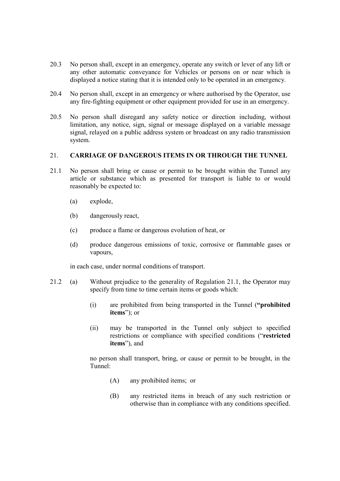- 20.3 No person shall, except in an emergency, operate any switch or lever of any lift or any other automatic conveyance for Vehicles or persons on or near which is displayed a notice stating that it is intended only to be operated in an emergency.
- 20.4 No person shall, except in an emergency or where authorised by the Operator, use any fire-fighting equipment or other equipment provided for use in an emergency.
- 20.5 No person shall disregard any safety notice or direction including, without limitation, any notice, sign, signal or message displayed on a variable message signal, relayed on a public address system or broadcast on any radio transmission system.

#### 21. CARRIAGE OF DANGEROUS ITEMS IN OR THROUGH THE TUNNEL

- 21.1 No person shall bring or cause or permit to be brought within the Tunnel any article or substance which as presented for transport is liable to or would reasonably be expected to:
	- (a) explode,
	- (b) dangerously react,
	- (c) produce a flame or dangerous evolution of heat, or
	- (d) produce dangerous emissions of toxic, corrosive or flammable gases or vapours,

in each case, under normal conditions of transport.

- 21.2 (a) Without prejudice to the generality of Regulation 21.1, the Operator may specify from time to time certain items or goods which:
	- (i) are prohibited from being transported in the Tunnel ("prohibited items"); or
	- (ii) may be transported in the Tunnel only subject to specified restrictions or compliance with specified conditions ("restricted items"), and

no person shall transport, bring, or cause or permit to be brought, in the Tunnel:

- (A) any prohibited items; or
- (B) any restricted items in breach of any such restriction or otherwise than in compliance with any conditions specified.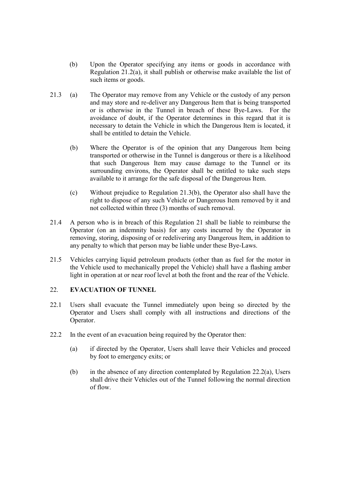- (b) Upon the Operator specifying any items or goods in accordance with Regulation 21.2(a), it shall publish or otherwise make available the list of such items or goods.
- 21.3 (a) The Operator may remove from any Vehicle or the custody of any person and may store and re-deliver any Dangerous Item that is being transported or is otherwise in the Tunnel in breach of these Bye-Laws. For the avoidance of doubt, if the Operator determines in this regard that it is necessary to detain the Vehicle in which the Dangerous Item is located, it shall be entitled to detain the Vehicle.
	- (b) Where the Operator is of the opinion that any Dangerous Item being transported or otherwise in the Tunnel is dangerous or there is a likelihood that such Dangerous Item may cause damage to the Tunnel or its surrounding environs, the Operator shall be entitled to take such steps available to it arrange for the safe disposal of the Dangerous Item.
	- (c) Without prejudice to Regulation 21.3(b), the Operator also shall have the right to dispose of any such Vehicle or Dangerous Item removed by it and not collected within three (3) months of such removal.
- 21.4 A person who is in breach of this Regulation 21 shall be liable to reimburse the Operator (on an indemnity basis) for any costs incurred by the Operator in removing, storing, disposing of or redelivering any Dangerous Item, in addition to any penalty to which that person may be liable under these Bye-Laws.
- 21.5 Vehicles carrying liquid petroleum products (other than as fuel for the motor in the Vehicle used to mechanically propel the Vehicle) shall have a flashing amber light in operation at or near roof level at both the front and the rear of the Vehicle.

# 22 EVACUATION OF TUNNEL

- 22.1 Users shall evacuate the Tunnel immediately upon being so directed by the Operator and Users shall comply with all instructions and directions of the Operator.
- 22.2 In the event of an evacuation being required by the Operator then:
	- (a) if directed by the Operator, Users shall leave their Vehicles and proceed by foot to emergency exits; or
	- (b) in the absence of any direction contemplated by Regulation 22.2(a), Users shall drive their Vehicles out of the Tunnel following the normal direction of flow.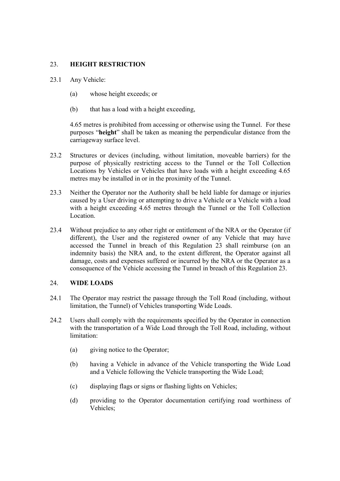# 23. HEIGHT RESTRICTION

- 23.1 Any Vehicle:
	- (a) whose height exceeds; or
	- (b) that has a load with a height exceeding,

4.65 metres is prohibited from accessing or otherwise using the Tunnel. For these purposes "height" shall be taken as meaning the perpendicular distance from the carriageway surface level.

- 23.2 Structures or devices (including, without limitation, moveable barriers) for the purpose of physically restricting access to the Tunnel or the Toll Collection Locations by Vehicles or Vehicles that have loads with a height exceeding 4.65 metres may be installed in or in the proximity of the Tunnel.
- 23.3 Neither the Operator nor the Authority shall be held liable for damage or injuries caused by a User driving or attempting to drive a Vehicle or a Vehicle with a load with a height exceeding 4.65 metres through the Tunnel or the Toll Collection Location.
- 23.4 Without prejudice to any other right or entitlement of the NRA or the Operator (if different), the User and the registered owner of any Vehicle that may have accessed the Tunnel in breach of this Regulation 23 shall reimburse (on an indemnity basis) the NRA and, to the extent different, the Operator against all damage, costs and expenses suffered or incurred by the NRA or the Operator as a consequence of the Vehicle accessing the Tunnel in breach of this Regulation 23.

#### 24. WIDE LOADS

- 24.1 The Operator may restrict the passage through the Toll Road (including, without limitation, the Tunnel) of Vehicles transporting Wide Loads.
- 24.2 Users shall comply with the requirements specified by the Operator in connection with the transportation of a Wide Load through the Toll Road, including, without limitation:
	- (a) giving notice to the Operator;
	- (b) having a Vehicle in advance of the Vehicle transporting the Wide Load and a Vehicle following the Vehicle transporting the Wide Load;
	- (c) displaying flags or signs or flashing lights on Vehicles;
	- (d) providing to the Operator documentation certifying road worthiness of Vehicles;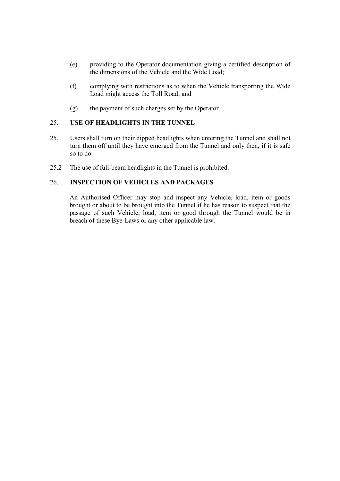- (e) providing to the Operator documentation giving a certified description of the dimensions of the Vehicle and the Wide Load;
- (f) complying with restrictions as to when the Vehicle transporting the Wide Load might access the Toll Road; and
- (g) the payment of such charges set by the Operator.

# 25. USE OF HEADLIGHTS IN THE TUNNEL

- 25.1 Users shall turn on their dipped headlights when entering the Tunnel and shall not turn them off until they have emerged from the Tunnel and only then, if it is safe so to do.
- 25.2 The use of full-beam headlights in the Tunnel is prohibited.

### 26. INSPECTION OF VEHICLES AND PACKAGES

An Authorised Officer may stop and inspect any Vehicle, load, item or goods brought or about to be brought into the Tunnel if he has reason to suspect that the passage of such Vehicle, load, item or good through the Tunnel would be in breach of these Bye-Laws or any other applicable law.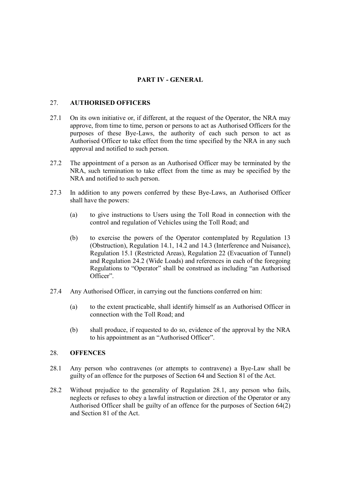# PART IV - GENERAL

### 27. AUTHORISED OFFICERS

- 27.1 On its own initiative or, if different, at the request of the Operator, the NRA may approve, from time to time, person or persons to act as Authorised Officers for the purposes of these Bye-Laws, the authority of each such person to act as Authorised Officer to take effect from the time specified by the NRA in any such approval and notified to such person.
- 27.2 The appointment of a person as an Authorised Officer may be terminated by the NRA, such termination to take effect from the time as may be specified by the NRA and notified to such person.
- 27.3 In addition to any powers conferred by these Bye-Laws, an Authorised Officer shall have the powers:
	- (a) to give instructions to Users using the Toll Road in connection with the control and regulation of Vehicles using the Toll Road; and
	- (b) to exercise the powers of the Operator contemplated by Regulation 13 (Obstruction), Regulation 14.1, 14.2 and 14.3 (Interference and Nuisance), Regulation 15.1 (Restricted Areas), Regulation 22 (Evacuation of Tunnel) and Regulation 24.2 (Wide Loads) and references in each of the foregoing Regulations to "Operator" shall be construed as including "an Authorised Officer".
- 27.4 Any Authorised Officer, in carrying out the functions conferred on him:
	- (a) to the extent practicable, shall identify himself as an Authorised Officer in connection with the Toll Road; and
	- (b) shall produce, if requested to do so, evidence of the approval by the NRA to his appointment as an "Authorised Officer".

#### 28. OFFENCES

- 28.1 Any person who contravenes (or attempts to contravene) a Bye-Law shall be guilty of an offence for the purposes of Section 64 and Section 81 of the Act.
- 28.2 Without prejudice to the generality of Regulation 28.1, any person who fails, neglects or refuses to obey a lawful instruction or direction of the Operator or any Authorised Officer shall be guilty of an offence for the purposes of Section 64(2) and Section 81 of the Act.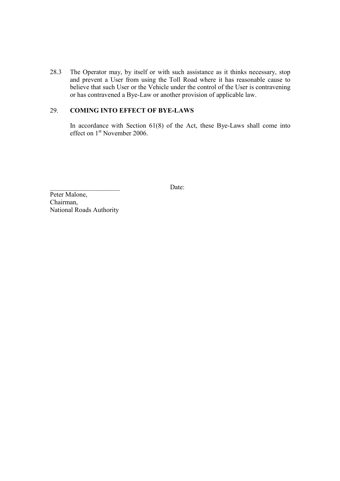28.3 The Operator may, by itself or with such assistance as it thinks necessary, stop and prevent a User from using the Toll Road where it has reasonable cause to believe that such User or the Vehicle under the control of the User is contravening or has contravened a Bye-Law or another provision of applicable law.

# 29. COMING INTO EFFECT OF BYE-LAWS

In accordance with Section  $61(8)$  of the Act, these Bye-Laws shall come into effect on 1<sup>st</sup> November 2006.

Date:

Peter Malone, Chairman, National Roads Authority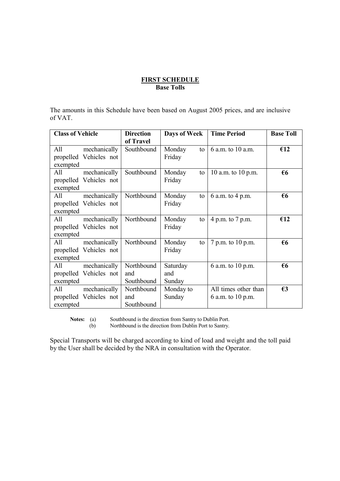### FIRST SCHEDULE Base Tolls

The amounts in this Schedule have been based on August 2005 prices, and are inclusive of VAT.

| <b>Class of Vehicle</b> |                                        | <b>Direction</b><br>of Travel   | Days of Week              |    | <b>Time Period</b>                        | <b>Base Toll</b> |
|-------------------------|----------------------------------------|---------------------------------|---------------------------|----|-------------------------------------------|------------------|
| All<br>exempted         | mechanically<br>propelled Vehicles not | Southbound                      | Monday<br>Friday          | to | 6 a.m. to 10 a.m.                         | €12              |
| All<br>exempted         | mechanically<br>propelled Vehicles not | Southbound                      | Monday<br>Friday          | to | 10 a.m. to 10 p.m.                        | $\epsilon$ 6     |
| All<br>exempted         | mechanically<br>propelled Vehicles not | Northbound                      | Monday<br>Friday          | to | 6 a.m. to 4 p.m.                          | $\epsilon$ 6     |
| All<br>exempted         | mechanically<br>propelled Vehicles not | Northbound                      | Monday<br>Friday          | to | 4 p.m. to 7 p.m.                          | €12              |
| All<br>exempted         | mechanically<br>propelled Vehicles not | Northbound                      | Monday<br>Friday          | to | 7 p.m. to 10 p.m.                         | €6               |
| All<br>exempted         | mechanically<br>propelled Vehicles not | Northbound<br>and<br>Southbound | Saturday<br>and<br>Sunday |    | 6 a.m. to 10 p.m.                         | €6               |
| All<br>exempted         | mechanically<br>propelled Vehicles not | Northbound<br>and<br>Southbound | Monday to<br>Sunday       |    | All times other than<br>6 a.m. to 10 p.m. | $\epsilon$ 3     |

Notes: (a) Southbound is the direction from Santry to Dublin Port.

(b) Northbound is the direction from Dublin Port to Santry.

Special Transports will be charged according to kind of load and weight and the toll paid by the User shall be decided by the NRA in consultation with the Operator.